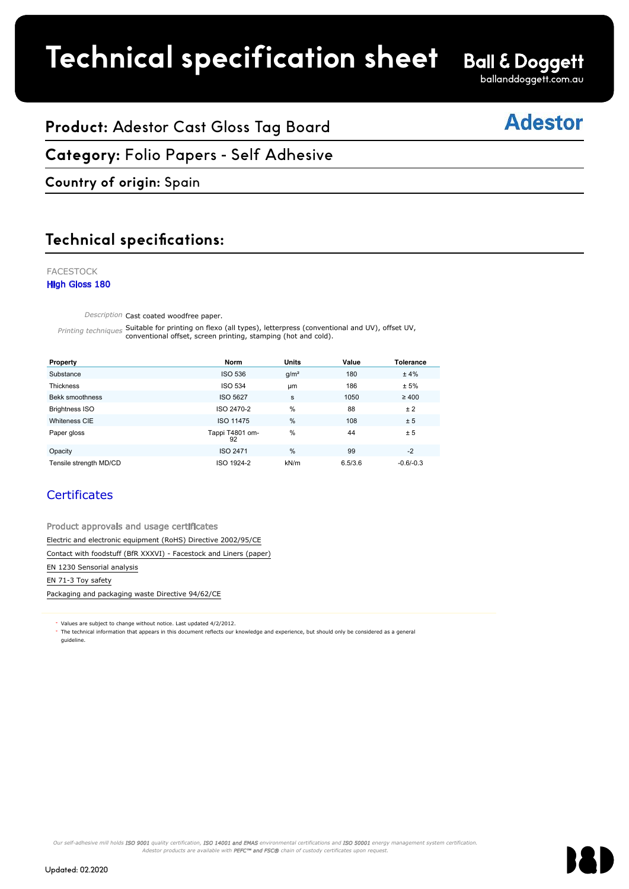# **Product spec sheet Technical specification sheet**

ballanddoggett.com.au

# **Adestor**

# **Product:** Adestor Cast Gloss Tag Board

#### **Category:** Folio Papers - Self Adhesive FACESTOCK

## **Country of origin:** Spain

# **Technical specifications:**

#### ADESTOR High Gloss 180 FACESTOCK High Gloss 180

Description Cast coated woodfree paper. The state of the state of the state of the state of the state of the state of the state of the state of the state of the state of the state of the state of the state of the state of

Printing techniques Suitable for printing on flexo (all types), letterpress (conventional and UV), offset UV,<br>Printing techniques conventional offset, screen printing, stamping (hot and cold). conventional offset, screen printing, stamping (hot and cold).

| Property                                                          | <b>Norm</b>           | <b>Units</b>     | Value   | Tolerance   |  |  |
|-------------------------------------------------------------------|-----------------------|------------------|---------|-------------|--|--|
| Substance                                                         | <b>ISO 536</b>        | g/m <sup>2</sup> | 180     | ±4%         |  |  |
| Thickness                                                         | <b>ISO 534</b>        | <b>um</b>        | 186     | ± 5%        |  |  |
| Bekk smoothness                                                   | <b>ISO 5627</b>       | s                | 1050    | $\geq 400$  |  |  |
| <b>Brightness ISO</b>                                             | ISO 2470-2            | %                | 88      | ± 2         |  |  |
| Whiteness CIE                                                     | ISO 11475             | %                | 108     | ± 5         |  |  |
| Paper gloss                                                       | Tappi T4801 om-<br>92 | %                | 44      | ± 5         |  |  |
| Opacity                                                           | ISO 2471              | %                | 99      | $-2$        |  |  |
| Tensile strength MD/CD                                            | ISO 1924-2            | kN/m             | 6.5/3.6 | $-0.6/-0.3$ |  |  |
| <b>Certificates</b>                                               |                       |                  |         |             |  |  |
| Product approvals and usage certificates                          |                       |                  |         |             |  |  |
| Electric and electronic equipment (RoHS) Directive 2002/95/CE     |                       |                  |         |             |  |  |
| Contact with foodstuff (BfR XXXVI) - Facestock and Liners (paper) |                       |                  |         |             |  |  |
| EN 1230 Sensorial analysis                                        |                       |                  |         |             |  |  |
| EN 71-3 Toy safety                                                |                       |                  |         |             |  |  |

## **Certificates**

Packaging and packaging waste Directive 94/62/CE

Values are subject to change without notice. Last updated 4/2/2012.

The technical information that appears in this document reflects our knowledge and experience, but should only be considered as a general guideline.

Our self-adhesive mill holds **ISO 9001** quality certification, **ISO 14001 and EMAS** environmental certifications and **ISO 50001** energy management system certification Adestor products are available with PEFC™ and FSC® chain of custody certificates upon request.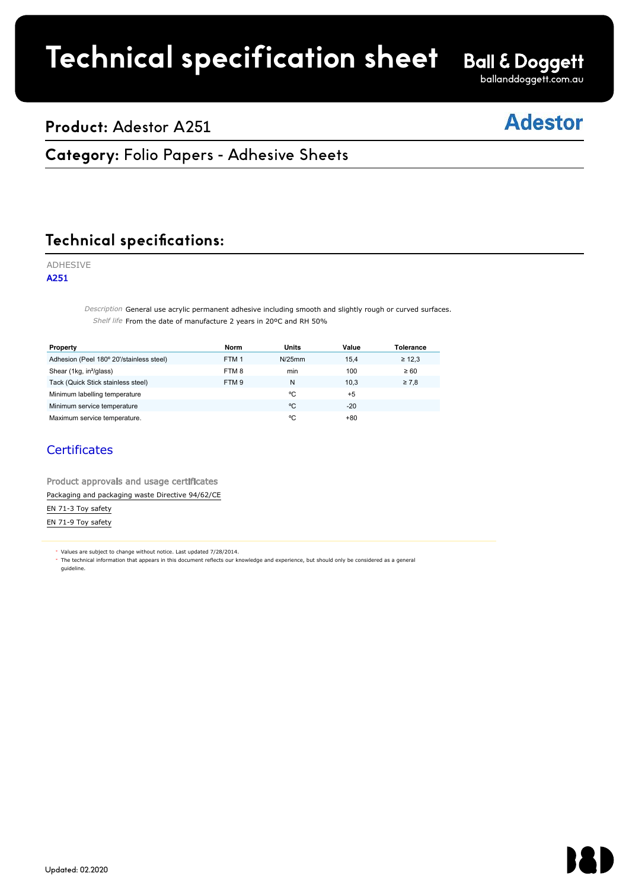# **Technical specification sheet**

**Ball & Doggett** ballanddoggett.com.au

# **Product:** Adestor A251

# **Adestor**

# **Category: Folio Papers - Adhesive Sheets**

Faces of the second control

#### **Technical specifications:** Technical specific

### ADHESIVE

A251

 $\emph{Description}$  General use acrylic permanent adhesive including smooth and slightly rough or curved surfaces. Shelf life From the date of manufacture 2 years in 20°C and RH 50%

| Property                                                                                                                                                                                                                          | <b>Norm</b>      | <b>Units</b> | Value | Tolerance   |  |
|-----------------------------------------------------------------------------------------------------------------------------------------------------------------------------------------------------------------------------------|------------------|--------------|-------|-------------|--|
| Adhesion (Peel 180° 20'/stainless steel)                                                                                                                                                                                          | FTM <sub>1</sub> | $N/25$ mm    | 15,4  | $\geq 12,3$ |  |
| Shear (1kg, in <sup>2</sup> /glass)                                                                                                                                                                                               | FTM8             | min          | 100   | $\geq 60$   |  |
| Tack (Quick Stick stainless steel)                                                                                                                                                                                                | FTM <sub>9</sub> | N            | 10.3  | $\geq 7.8$  |  |
| Minimum labelling temperature                                                                                                                                                                                                     |                  | °C           | $+5$  |             |  |
| Minimum service temperature                                                                                                                                                                                                       |                  | °C           | $-20$ |             |  |
| Maximum service temperature.                                                                                                                                                                                                      |                  | °C           | $+80$ |             |  |
| <b>Certificates</b><br>Product approvals and usage certificates                                                                                                                                                                   |                  |              |       |             |  |
| Packaging and packaging waste Directive 94/62/CE                                                                                                                                                                                  |                  |              |       |             |  |
| EN 71-3 Toy safety                                                                                                                                                                                                                |                  |              |       |             |  |
| EN 71-9 Toy safety                                                                                                                                                                                                                |                  |              |       |             |  |
|                                                                                                                                                                                                                                   |                  |              |       |             |  |
| * Values are subject to change without notice. Last updated 7/28/2014.<br>The technical information that appears in this document reflects our knowledge and experience, but should only be considered as a general<br>quideline. |                  |              |       |             |  |

## **Certificates**

| Product approvals and usage certificates         |  |
|--------------------------------------------------|--|
| Packaging and packaging waste Directive 94/62/CE |  |
| EN 71-3 Toy safety                               |  |
| EN 71-9 Toy safety                               |  |